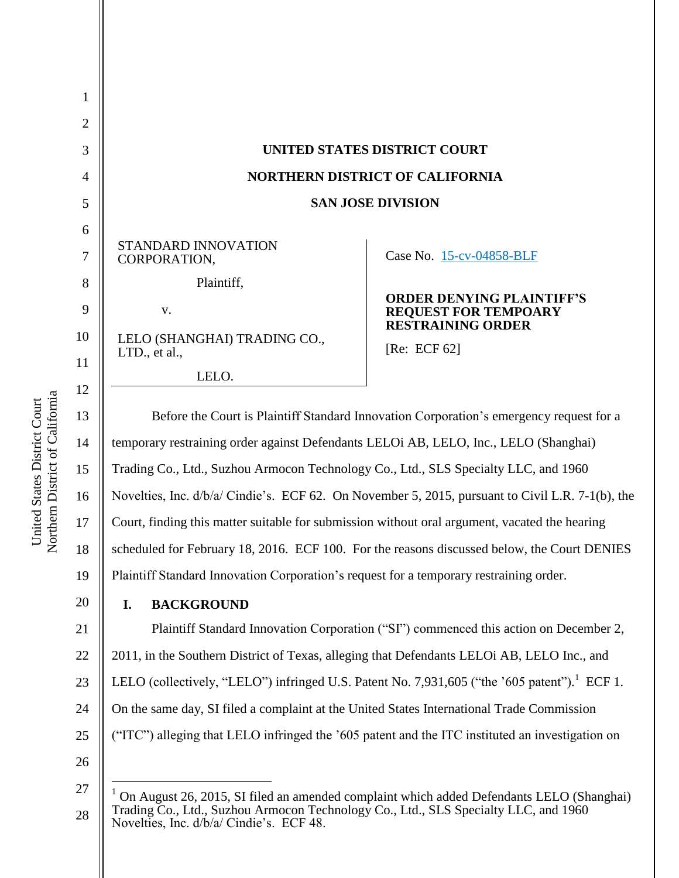| $\mathbf{1}$   |                                                                                                  |                                                                 |  |
|----------------|--------------------------------------------------------------------------------------------------|-----------------------------------------------------------------|--|
| $\overline{2}$ |                                                                                                  |                                                                 |  |
| 3              | <b>UNITED STATES DISTRICT COURT</b>                                                              |                                                                 |  |
| $\overline{4}$ | <b>NORTHERN DISTRICT OF CALIFORNIA</b>                                                           |                                                                 |  |
| 5              | <b>SAN JOSE DIVISION</b>                                                                         |                                                                 |  |
| 6              |                                                                                                  |                                                                 |  |
| $\overline{7}$ | STANDARD INNOVATION<br>CORPORATION,                                                              | Case No. 15-cv-04858-BLF                                        |  |
| 8              | Plaintiff,                                                                                       |                                                                 |  |
| 9              | V.                                                                                               | <b>ORDER DENYING PLAINTIFF'S</b><br><b>REQUEST FOR TEMPOARY</b> |  |
| 10             | LELO (SHANGHAI) TRADING CO.,                                                                     | <b>RESTRAINING ORDER</b>                                        |  |
| 11             | LTD., et al.,                                                                                    | [Re: ECF $62$ ]                                                 |  |
| 12             | LELO.                                                                                            |                                                                 |  |
| 13             | Before the Court is Plaintiff Standard Innovation Corporation's emergency request for a          |                                                                 |  |
| 14             | temporary restraining order against Defendants LELOi AB, LELO, Inc., LELO (Shanghai)             |                                                                 |  |
| 15             | Trading Co., Ltd., Suzhou Armocon Technology Co., Ltd., SLS Specialty LLC, and 1960              |                                                                 |  |
| 16             | Novelties, Inc. d/b/a/ Cindie's. ECF 62. On November 5, 2015, pursuant to Civil L.R. 7-1(b), the |                                                                 |  |
| 17             | Court, finding this matter suitable for submission without oral argument, vacated the hearing    |                                                                 |  |
| 18             | scheduled for February 18, 2016. ECF 100. For the reasons discussed below, the Court DENIES      |                                                                 |  |
| 19             | Plaintiff Standard Innovation Corporation's request for a temporary restraining order.           |                                                                 |  |

### **I. BACKGROUND**

21 22 23 24 Plaintiff Standard Innovation Corporation ("SI") commenced this action on December 2, 2011, in the Southern District of Texas, alleging that Defendants LELOi AB, LELO Inc., and LELO (collectively, "LELO") infringed U.S. Patent No. 7,931,605 ("the '605 patent").<sup>1</sup> ECF 1. On the same day, SI filed a complaint at the United States International Trade Commission

- ("ITC") alleging that LELO infringed the '605 patent and the ITC instituted an investigation on
- 26

 $\overline{a}$ 

25

20

Northern District of California Northern District of California United States District Court United States District Court

<sup>27</sup> 28  $1$  On August 26, 2015, SI filed an amended complaint which added Defendants LELO (Shanghai) Trading Co., Ltd., Suzhou Armocon Technology Co., Ltd., SLS Specialty LLC, and 1960 Novelties, Inc. d/b/a/ Cindie's. ECF 48.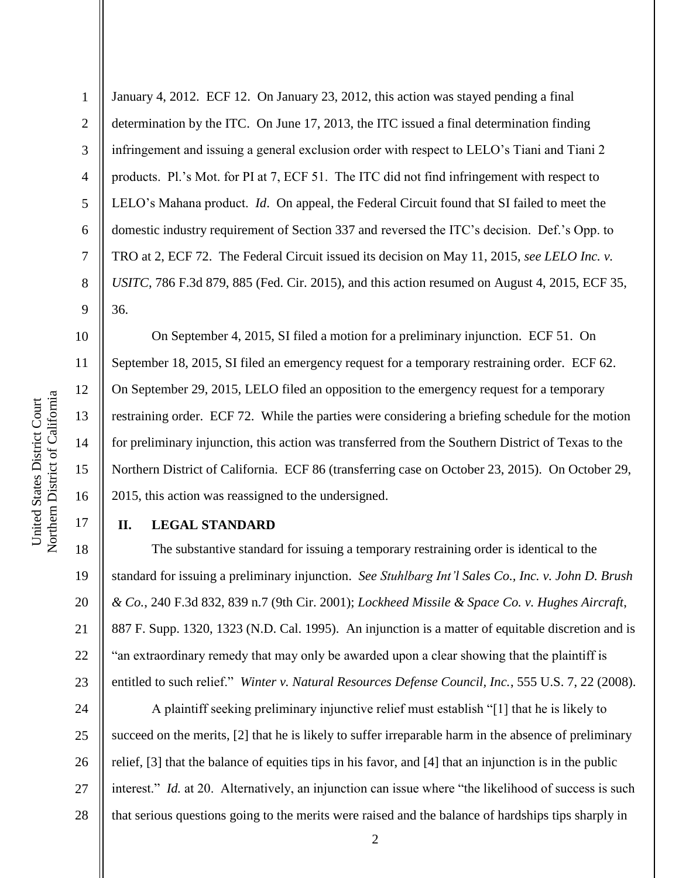10

11

12

13

14

15

16

17

1 2 3 4 5 6 7 8 9 January 4, 2012. ECF 12. On January 23, 2012, this action was stayed pending a final determination by the ITC. On June 17, 2013, the ITC issued a final determination finding infringement and issuing a general exclusion order with respect to LELO's Tiani and Tiani 2 products. Pl.'s Mot. for PI at 7, ECF 51. The ITC did not find infringement with respect to LELO's Mahana product. *Id*. On appeal, the Federal Circuit found that SI failed to meet the domestic industry requirement of Section 337 and reversed the ITC's decision. Def.'s Opp. to TRO at 2, ECF 72. The Federal Circuit issued its decision on May 11, 2015, *see LELO Inc. v. USITC*, 786 F.3d 879, 885 (Fed. Cir. 2015), and this action resumed on August 4, 2015, ECF 35, 36.

On September 4, 2015, SI filed a motion for a preliminary injunction. ECF 51. On September 18, 2015, SI filed an emergency request for a temporary restraining order. ECF 62. On September 29, 2015, LELO filed an opposition to the emergency request for a temporary restraining order. ECF 72. While the parties were considering a briefing schedule for the motion for preliminary injunction, this action was transferred from the Southern District of Texas to the Northern District of California. ECF 86 (transferring case on October 23, 2015). On October 29, 2015, this action was reassigned to the undersigned.

## **II. LEGAL STANDARD**

18 19 20 21 22 23 The substantive standard for issuing a temporary restraining order is identical to the standard for issuing a preliminary injunction. *See Stuhlbarg Int'l Sales Co., Inc. v. John D. Brush & Co.*, 240 F.3d 832, 839 n.7 (9th Cir. 2001); *Lockheed Missile & Space Co. v. Hughes Aircraft*, 887 F. Supp. 1320, 1323 (N.D. Cal. 1995). An injunction is a matter of equitable discretion and is "an extraordinary remedy that may only be awarded upon a clear showing that the plaintiff is entitled to such relief." *Winter v. Natural Resources Defense Council, Inc.*, 555 U.S. 7, 22 (2008).

24 25 26 27 28 A plaintiff seeking preliminary injunctive relief must establish "[1] that he is likely to succeed on the merits, [2] that he is likely to suffer irreparable harm in the absence of preliminary relief, [3] that the balance of equities tips in his favor, and [4] that an injunction is in the public interest." *Id.* at 20. Alternatively, an injunction can issue where "the likelihood of success is such that serious questions going to the merits were raised and the balance of hardships tips sharply in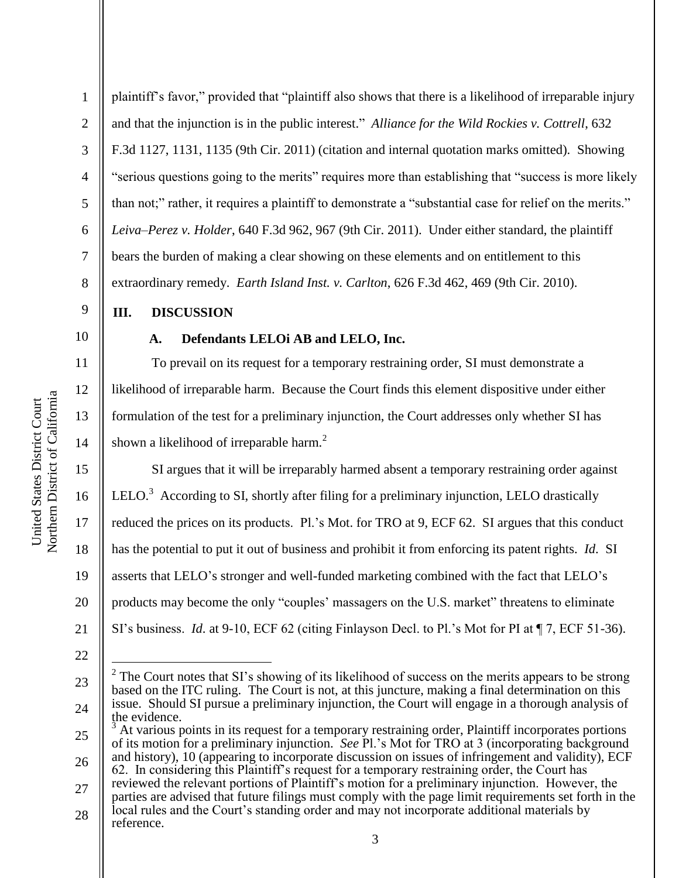6 plaintiff's favor," provided that "plaintiff also shows that there is a likelihood of irreparable injury and that the injunction is in the public interest." *Alliance for the Wild Rockies v. Cottrell*, 632 F.3d 1127, 1131, 1135 (9th Cir. 2011) (citation and internal quotation marks omitted). Showing "serious questions going to the merits" requires more than establishing that "success is more likely than not;" rather, it requires a plaintiff to demonstrate a "substantial case for relief on the merits." *Leiva–Perez v. Holder*, 640 F.3d 962, 967 (9th Cir. 2011). Under either standard, the plaintiff bears the burden of making a clear showing on these elements and on entitlement to this extraordinary remedy. *Earth Island Inst. v. Carlton*, 626 F.3d 462, 469 (9th Cir. 2010).

## **III. DISCUSSION**

10

1

2

3

4

5

7

8

9

11

12

13

14

#### **A. Defendants LELOi AB and LELO, Inc.**

To prevail on its request for a temporary restraining order, SI must demonstrate a likelihood of irreparable harm. Because the Court finds this element dispositive under either formulation of the test for a preliminary injunction, the Court addresses only whether SI has shown a likelihood of irreparable harm.<sup>2</sup>

15 16 17 18 19 20 21 SI argues that it will be irreparably harmed absent a temporary restraining order against LELO.<sup>3</sup> According to SI, shortly after filing for a preliminary injunction, LELO drastically reduced the prices on its products. Pl.'s Mot. for TRO at 9, ECF 62. SI argues that this conduct has the potential to put it out of business and prohibit it from enforcing its patent rights. *Id*. SI asserts that LELO's stronger and well-funded marketing combined with the fact that LELO's products may become the only "couples' massagers on the U.S. market" threatens to eliminate SI's business. *Id*. at 9-10, ECF 62 (citing Finlayson Decl. to Pl.'s Mot for PI at ¶ 7, ECF 51-36).

 $\overline{a}$ 

<sup>22</sup>

<sup>23</sup> 24 2 The Court notes that SI's showing of its likelihood of success on the merits appears to be strong based on the ITC ruling. The Court is not, at this juncture, making a final determination on this issue. Should SI pursue a preliminary injunction, the Court will engage in a thorough analysis of the evidence.

<sup>25</sup> 26 <sup>3</sup> At various points in its request for a temporary restraining order, Plaintiff incorporates portions of its motion for a preliminary injunction. *See* Pl.'s Mot for TRO at 3 (incorporating background and history), 10 (appearing to incorporate discussion on issues of infringement and validity), ECF 62. In considering this Plaintiff's request for a temporary restraining order, the Court has

<sup>27</sup> reviewed the relevant portions of Plaintiff's motion for a preliminary injunction. However, the parties are advised that future filings must comply with the page limit requirements set forth in the

<sup>28</sup> local rules and the Court's standing order and may not incorporate additional materials by reference.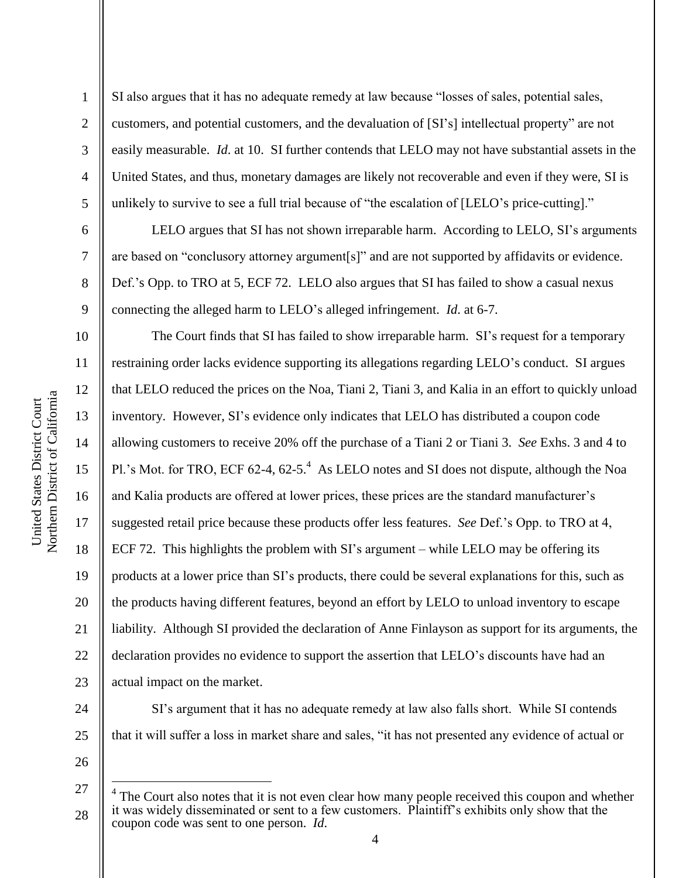1

2

3

4

5

6

7

8

9

10

11

12

13

14

15

16

17

18

19

20

21

22

23

24

SI also argues that it has no adequate remedy at law because "losses of sales, potential sales, customers, and potential customers, and the devaluation of [SI's] intellectual property" are not easily measurable. *Id*. at 10. SI further contends that LELO may not have substantial assets in the United States, and thus, monetary damages are likely not recoverable and even if they were, SI is unlikely to survive to see a full trial because of "the escalation of [LELO's price-cutting]."

LELO argues that SI has not shown irreparable harm. According to LELO, SI's arguments are based on "conclusory attorney argument[s]" and are not supported by affidavits or evidence. Def.'s Opp. to TRO at 5, ECF 72. LELO also argues that SI has failed to show a casual nexus connecting the alleged harm to LELO's alleged infringement. *Id*. at 6-7.

The Court finds that SI has failed to show irreparable harm. SI's request for a temporary restraining order lacks evidence supporting its allegations regarding LELO's conduct. SI argues that LELO reduced the prices on the Noa, Tiani 2, Tiani 3, and Kalia in an effort to quickly unload inventory. However, SI's evidence only indicates that LELO has distributed a coupon code allowing customers to receive 20% off the purchase of a Tiani 2 or Tiani 3. *See* Exhs. 3 and 4 to Pl.'s Mot. for TRO, ECF 62-4, 62-5. $4$  As LELO notes and SI does not dispute, although the Noa and Kalia products are offered at lower prices, these prices are the standard manufacturer's suggested retail price because these products offer less features. *See* Def.'s Opp. to TRO at 4, ECF 72. This highlights the problem with SI's argument – while LELO may be offering its products at a lower price than SI's products, there could be several explanations for this, such as the products having different features, beyond an effort by LELO to unload inventory to escape liability. Although SI provided the declaration of Anne Finlayson as support for its arguments, the declaration provides no evidence to support the assertion that LELO's discounts have had an actual impact on the market.

25

26

27

 $\overline{a}$ 

28

that it will suffer a loss in market share and sales, "it has not presented any evidence of actual or

SI's argument that it has no adequate remedy at law also falls short. While SI contends

<sup>4</sup> The Court also notes that it is not even clear how many people received this coupon and whether it was widely disseminated or sent to a few customers. Plaintiff's exhibits only show that the coupon code was sent to one person. *Id*.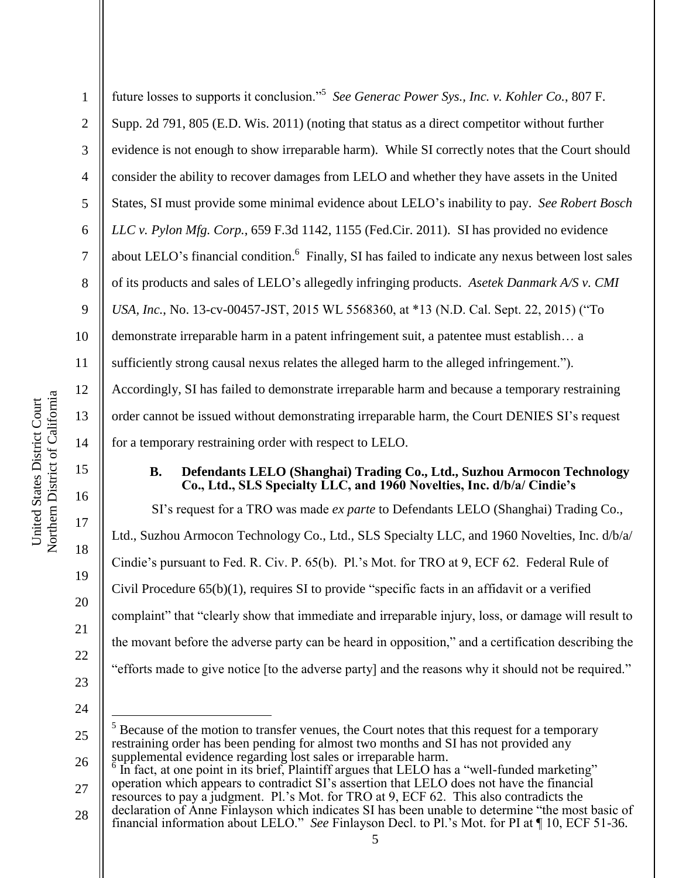|                                                                | 3  | evidence is not enough to:       |
|----------------------------------------------------------------|----|----------------------------------|
|                                                                | 4  | consider the ability to reco     |
|                                                                | 5  | States, SI must provide sor      |
|                                                                | 6  | LLC v. Pylon Mfg. Corp.,         |
|                                                                | 7  | about LELO's financial co        |
|                                                                | 8  | of its products and sales of     |
|                                                                | 9  | USA, Inc., No. 13-cv-0045        |
|                                                                | 10 | demonstrate irreparable ha       |
|                                                                | 11 | sufficiently strong causal r     |
|                                                                | 12 | Accordingly, SI has failed       |
|                                                                | 13 | order cannot be issued with      |
|                                                                | 14 | for a temporary restraining      |
| Northern District of California<br>Jnited States District Cour | 15 | <b>B.</b><br><b>Defendants I</b> |
|                                                                | 16 | Co., Ltd., SL                    |
|                                                                | 17 | SI's request for a T             |
|                                                                |    | Ltd., Suzhou Armocon Te          |
|                                                                | 18 | Cindie's pursuant to Fed. I      |
|                                                                | 19 |                                  |

1

2

show irreparable harm). While SI correctly notes that the Court should ver damages from LELO and whether they have assets in the United me minimal evidence about LELO's inability to pay. *See Robert Bosch LLC v. Pylon Mfg. Corp.*, 659 F.3d 1142, 1155 (Fed.Cir. 2011). SI has provided no evidence about LELO's financial condition.<sup>6</sup> Finally, SI has failed to indicate any nexus between lost sales f LELO's allegedly infringing products. *Asetek Danmark A/S v. CMI ISA*, *P*<sub>0</sub>, 13-*USA, 2015 WL 5568360, at \*13 (N.D. Cal. Sept. 22, 2015) ("To* rm in a patent infringement suit, a patentee must establish… a sufficiently strong causal nexus relates the alleged infringement."). to demonstrate irreparable harm and because a temporary restraining

hout demonstrating irreparable harm, the Court DENIES SI's request g order with respect to LELO.

future losses to supports it conclusion."<sup>5</sup> See Generac Power Sys., Inc. v. Kohler Co., 807 F.

Supp. 2d 791, 805 (E.D. Wis. 2011) (noting that status as a direct competitor without further

## **B. ELO (Shanghai) Trading Co., Ltd., Suzhou Armocon Technology Co., S., Specialty LLC, and 1960 Novelties, Inc. d/b/a/ Cindie's**

TRO was made *ex parte* to Defendants LELO (Shanghai) Trading Co., chnology Co., Ltd., SLS Specialty LLC, and 1960 Novelties, Inc. d/b/a/ R. Civ. P.  $65(b)$ . Pl.'s Mot. for TRO at 9, ECF 62. Federal Rule of Civil Procedure  $(55(b)(1))$ , requires SI to provide "specific facts in an affidavit or a verified complaint" that "clearly show that immediate and irreparable injury, loss, or damage will result to the movant before the adverse party can be heard in opposition," and a certification describing the "efforts made to give notice [to the adverse party] and the reasons why it should not be required."

24

 $\overline{a}$ 

20

21

22

23

<sup>25</sup>  $<sup>5</sup>$  Because of the motion to transfer venues, the Court notes that this request for a temporary</sup> restraining order has been pending for almost two months and SI has not provided any supplemental evidence regarding lost sales or irreparable harm.

<sup>26</sup> 27 In fact, at one point in its brief, Plaintiff argues that LELO has a "well-funded marketing" operation which appears to contradict SI's assertion that LELO does not have the financial

<sup>28</sup> resources to pay a judgment. Pl.'s Mot. for TRO at 9, ECF 62. This also contradicts the declaration of Anne Finlayson which indicates SI has been unable to determine "the most basic of financial information about LELO." *See* Finlayson Decl. to Pl.'s Mot. for PI at ¶ 10, ECF 51-36.